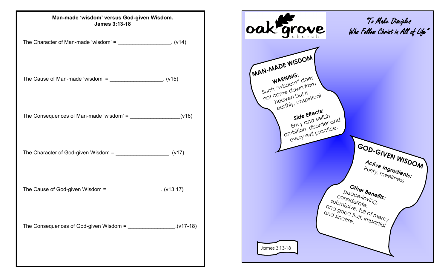